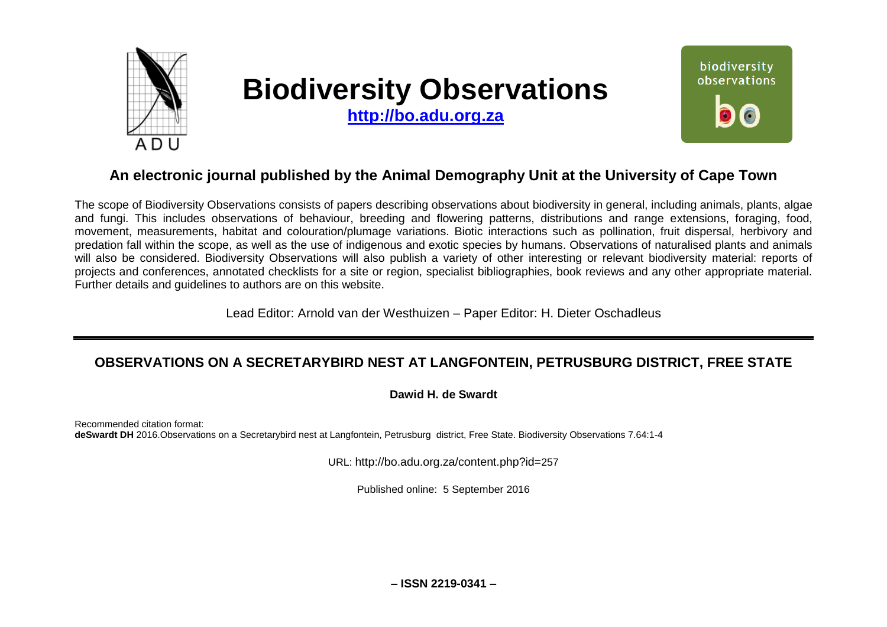

# **Biodiversity Observations**

**[http://bo.adu.org.za](http://bo.adu.org.za/)**



# **An electronic journal published by the Animal Demography Unit at the University of Cape Town**

The scope of Biodiversity Observations consists of papers describing observations about biodiversity in general, including animals, plants, algae and fungi. This includes observations of behaviour, breeding and flowering patterns, distributions and range extensions, foraging, food, movement, measurements, habitat and colouration/plumage variations. Biotic interactions such as pollination, fruit dispersal, herbivory and predation fall within the scope, as well as the use of indigenous and exotic species by humans. Observations of naturalised plants and animals will also be considered. Biodiversity Observations will also publish a variety of other interesting or relevant biodiversity material: reports of projects and conferences, annotated checklists for a site or region, specialist bibliographies, book reviews and any other appropriate material. Further details and guidelines to authors are on this website.

Lead Editor: Arnold van der Westhuizen – Paper Editor: H. Dieter Oschadleus

## **OBSERVATIONS ON A SECRETARYBIRD NEST AT LANGFONTEIN, PETRUSBURG DISTRICT, FREE STATE**

## **Dawid H. de Swardt**

Recommended citation format: **deSwardt DH** 2016.Observations on a Secretarybird nest at Langfontein, Petrusburg district, Free State. Biodiversity Observations 7.64:1-4

URL: http://bo.adu.org.za/content.php?id=257

Published online: 5 September 2016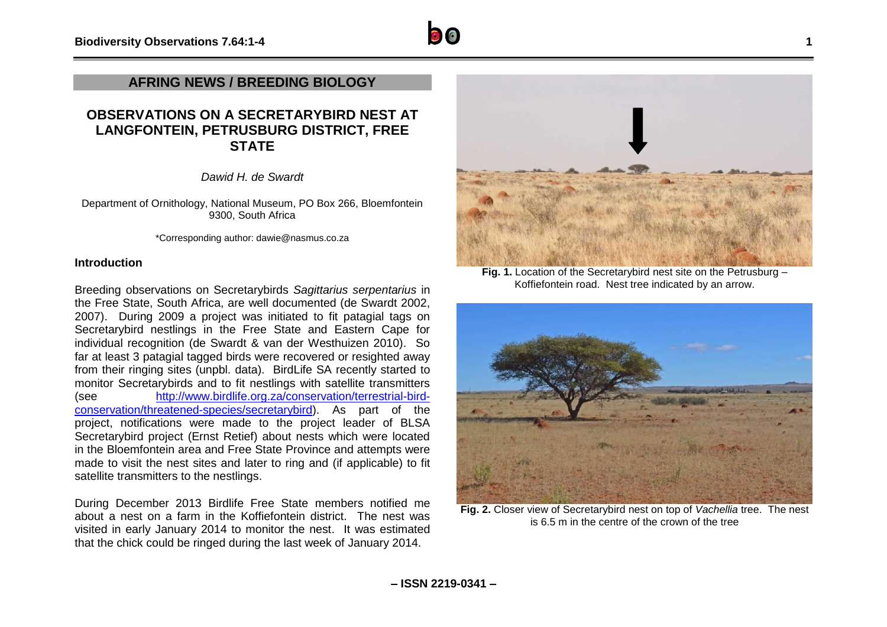## **AFRING NEWS / BREEDING BIOLOGY**

## **OBSERVATIONS ON A SECRETARYBIRD NEST AT LANGFONTEIN, PETRUSBURG DISTRICT, FREE STATE**

*Dawid H. de Swardt*

Department of Ornithology, National Museum, PO Box 266, Bloemfontein 9300, South Africa

\*Corresponding author: dawie@nasmus.co.za

#### **Introduction**

Breeding observations on Secretarybirds *Sagittarius serpentarius* in the Free State, South Africa, are well documented (de Swardt 2002, 2007). During 2009 a project was initiated to fit patagial tags on Secretarybird nestlings in the Free State and Eastern Cape for individual recognition (de Swardt & van der Westhuizen 2010). So far at least 3 patagial tagged birds were recovered or resighted away from their ringing sites (unpbl. data). BirdLife SA recently started to monitor Secretarybirds and to fit nestlings with satellite transmitters (see [http://www.birdlife.org.za/conservation/terrestrial-bird](http://www.birdlife.org.za/conservation/terrestrial-bird-conservation/threatened-species/secretarybird)[conservation/threatened-species/secretarybird\)](http://www.birdlife.org.za/conservation/terrestrial-bird-conservation/threatened-species/secretarybird). As part of the project, notifications were made to the project leader of BLSA Secretarybird project (Ernst Retief) about nests which were located in the Bloemfontein area and Free State Province and attempts were made to visit the nest sites and later to ring and (if applicable) to fit satellite transmitters to the nestlings.

During December 2013 Birdlife Free State members notified me about a nest on a farm in the Koffiefontein district. The nest was visited in early January 2014 to monitor the nest. It was estimated that the chick could be ringed during the last week of January 2014.



**Fig. 1.** Location of the Secretarybird nest site on the Petrusburg – Koffiefontein road. Nest tree indicated by an arrow.



**Fig. 2.** Closer view of Secretarybird nest on top of *Vachellia* tree. The nest is 6.5 m in the centre of the crown of the tree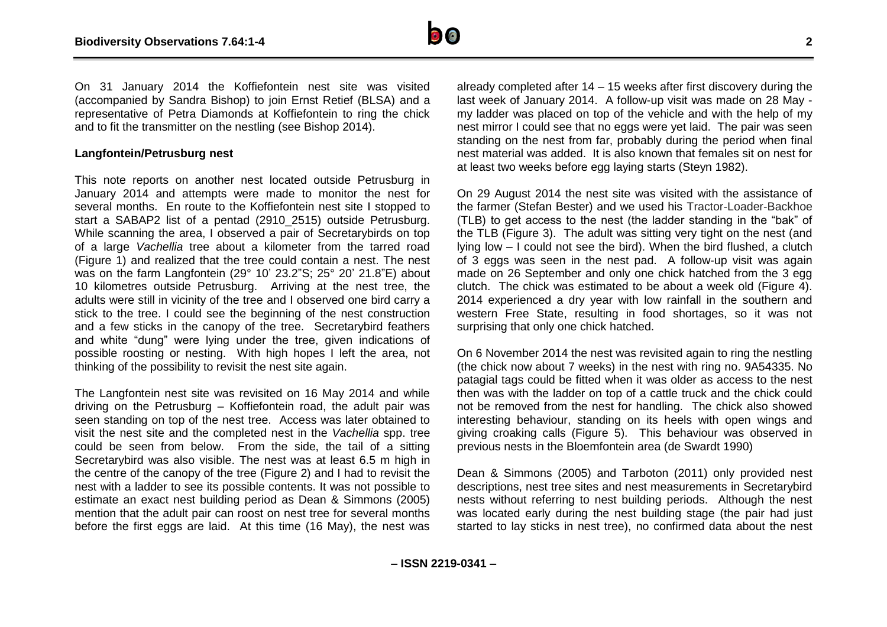

On 31 January 2014 the Koffiefontein nest site was visited (accompanied by Sandra Bishop) to join Ernst Retief (BLSA) and a representative of Petra Diamonds at Koffiefontein to ring the chick and to fit the transmitter on the nestling (see Bishop 2014).

#### **Langfontein/Petrusburg nest**

This note reports on another nest located outside Petrusburg in January 2014 and attempts were made to monitor the nest for several months. En route to the Koffiefontein nest site I stopped to start a SABAP2 list of a pentad (2910\_2515) outside Petrusburg. While scanning the area, I observed a pair of Secretarybirds on top of a large *Vachellia* tree about a kilometer from the tarred road (Figure 1) and realized that the tree could contain a nest. The nest was on the farm Langfontein (29° 10' 23.2"S; 25° 20' 21.8"E) about 10 kilometres outside Petrusburg. Arriving at the nest tree, the adults were still in vicinity of the tree and I observed one bird carry a stick to the tree. I could see the beginning of the nest construction and a few sticks in the canopy of the tree. Secretarybird feathers and white "dung" were lying under the tree, given indications of possible roosting or nesting. With high hopes I left the area, not thinking of the possibility to revisit the nest site again.

The Langfontein nest site was revisited on 16 May 2014 and while driving on the Petrusburg – Koffiefontein road, the adult pair was seen standing on top of the nest tree. Access was later obtained to visit the nest site and the completed nest in the *Vachellia* spp. tree could be seen from below. From the side, the tail of a sitting Secretarybird was also visible. The nest was at least 6.5 m high in the centre of the canopy of the tree (Figure 2) and I had to revisit the nest with a ladder to see its possible contents. It was not possible to estimate an exact nest building period as Dean & Simmons (2005) mention that the adult pair can roost on nest tree for several months before the first eggs are laid. At this time (16 May), the nest was

already completed after 14 – 15 weeks after first discovery during the last week of January 2014. A follow-up visit was made on 28 May my ladder was placed on top of the vehicle and with the help of my nest mirror I could see that no eggs were yet laid. The pair was seen standing on the nest from far, probably during the period when final nest material was added. It is also known that females sit on nest for at least two weeks before egg laying starts (Steyn 1982).

On 29 August 2014 the nest site was visited with the assistance of the farmer (Stefan Bester) and we used his Tractor-Loader-Backhoe (TLB) to get access to the nest (the ladder standing in the "bak" of the TLB (Figure 3). The adult was sitting very tight on the nest (and lying low – I could not see the bird). When the bird flushed, a clutch of 3 eggs was seen in the nest pad. A follow-up visit was again made on 26 September and only one chick hatched from the 3 egg clutch. The chick was estimated to be about a week old (Figure 4). 2014 experienced a dry year with low rainfall in the southern and western Free State, resulting in food shortages, so it was not surprising that only one chick hatched.

On 6 November 2014 the nest was revisited again to ring the nestling (the chick now about 7 weeks) in the nest with ring no. 9A54335. No patagial tags could be fitted when it was older as access to the nest then was with the ladder on top of a cattle truck and the chick could not be removed from the nest for handling. The chick also showed interesting behaviour, standing on its heels with open wings and giving croaking calls (Figure 5). This behaviour was observed in previous nests in the Bloemfontein area (de Swardt 1990)

Dean & Simmons (2005) and Tarboton (2011) only provided nest descriptions, nest tree sites and nest measurements in Secretarybird nests without referring to nest building periods. Although the nest was located early during the nest building stage (the pair had just started to lay sticks in nest tree), no confirmed data about the nest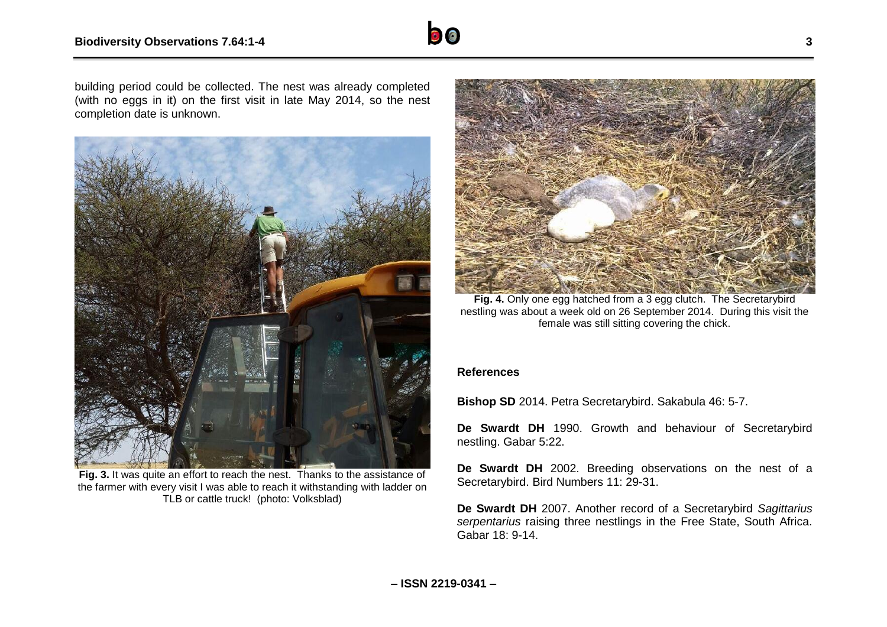

building period could be collected. The nest was already completed (with no eggs in it) on the first visit in late May 2014, so the nest completion date is unknown.



**Fig. 3.** It was quite an effort to reach the nest. Thanks to the assistance of the farmer with every visit I was able to reach it withstanding with ladder on TLB or cattle truck! (photo: Volksblad)



**Fig. 4.** Only one egg hatched from a 3 egg clutch. The Secretarybird nestling was about a week old on 26 September 2014. During this visit the female was still sitting covering the chick.

### **References**

**Bishop SD** 2014. Petra Secretarybird. Sakabula 46: 5-7.

**De Swardt DH** 1990. Growth and behaviour of Secretarybird nestling. Gabar 5:22.

**De Swardt DH** 2002. Breeding observations on the nest of a Secretarybird. Bird Numbers 11: 29-31.

**De Swardt DH** 2007. Another record of a Secretarybird *Sagittarius serpentarius* raising three nestlings in the Free State, South Africa. Gabar 18: 9-14.